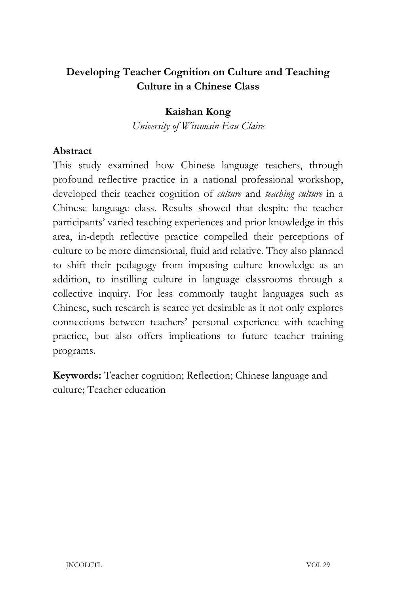# **Developing Teacher Cognition on Culture and Teaching Culture in a Chinese Class**

## **Kaishan Kong**

*University of Wisconsin-Eau Claire*

### **Abstract**

This study examined how Chinese language teachers, through profound reflective practice in a national professional workshop, developed their teacher cognition of *culture* and *teaching culture* in a Chinese language class. Results showed that despite the teacher participants' varied teaching experiences and prior knowledge in this area, in-depth reflective practice compelled their perceptions of culture to be more dimensional, fluid and relative. They also planned to shift their pedagogy from imposing culture knowledge as an addition, to instilling culture in language classrooms through a collective inquiry. For less commonly taught languages such as Chinese, such research is scarce yet desirable as it not only explores connections between teachers' personal experience with teaching practice, but also offers implications to future teacher training programs.

**Keywords:** Teacher cognition; Reflection; Chinese language and culture; Teacher education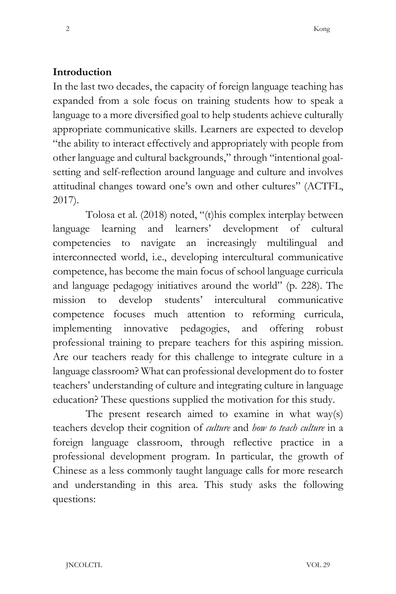#### **Introduction**

In the last two decades, the capacity of foreign language teaching has expanded from a sole focus on training students how to speak a language to a more diversified goal to help students achieve culturally appropriate communicative skills. Learners are expected to develop "the ability to interact effectively and appropriately with people from other language and cultural backgrounds," through "intentional goalsetting and self-reflection around language and culture and involves attitudinal changes toward one's own and other cultures" (ACTFL, 2017).

Tolosa et al. (2018) noted, "(t)his complex interplay between language learning and learners' development of cultural competencies to navigate an increasingly multilingual and interconnected world, i.e., developing intercultural communicative competence, has become the main focus of school language curricula and language pedagogy initiatives around the world" (p. 228). The mission to develop students' intercultural communicative competence focuses much attention to reforming curricula, implementing innovative pedagogies, and offering robust professional training to prepare teachers for this aspiring mission. Are our teachers ready for this challenge to integrate culture in a language classroom? What can professional development do to foster teachers' understanding of culture and integrating culture in language education? These questions supplied the motivation for this study.

The present research aimed to examine in what way(s) teachers develop their cognition of *culture* and *how to teach culture* in a foreign language classroom, through reflective practice in a professional development program. In particular, the growth of Chinese as a less commonly taught language calls for more research and understanding in this area. This study asks the following questions: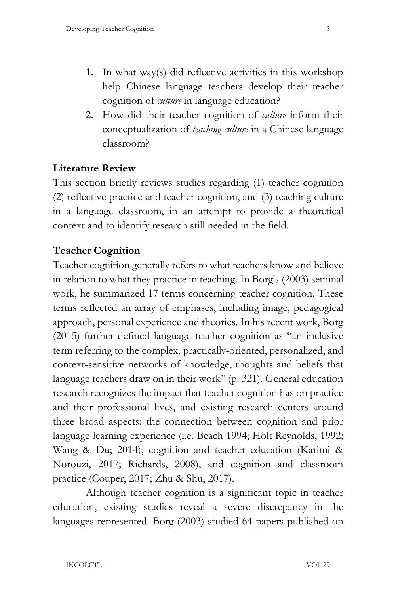- 1. In what way(s) did reflective activities in this workshop help Chinese language teachers develop their teacher cognition of *culture* in language education?
- 2. How did their teacher cognition of *culture* inform their conceptualization of *teaching culture* in a Chinese language classroom?

## **Literature Review**

This section briefly reviews studies regarding (1) teacher cognition (2) reflective practice and teacher cognition, and (3) teaching culture in a language classroom, in an attempt to provide a theoretical context and to identify research still needed in the field.

#### **Teacher Cognition**

Teacher cognition generally refers to what teachers know and believe in relation to what they practice in teaching. In Borg's (2003) seminal work, he summarized 17 terms concerning teacher cognition. These terms reflected an array of emphases, including image, pedagogical approach, personal experience and theories. In his recent work, Borg (2015) further defined language teacher cognition as "an inclusive term referring to the complex, practically-oriented, personalized, and context-sensitive networks of knowledge, thoughts and beliefs that language teachers draw on in their work" (p. 321). General education research recognizes the impact that teacher cognition has on practice and their professional lives, and existing research centers around three broad aspects: the connection between cognition and prior language learning experience (i.e. Beach 1994; Holt Reynolds, 1992; Wang & Du; 2014), cognition and teacher education (Karimi & Norouzi, 2017; Richards, 2008), and cognition and classroom practice (Couper, 2017; Zhu & Shu, 2017).

Although teacher cognition is a significant topic in teacher education, existing studies reveal a severe discrepancy in the languages represented. Borg (2003) studied 64 papers published on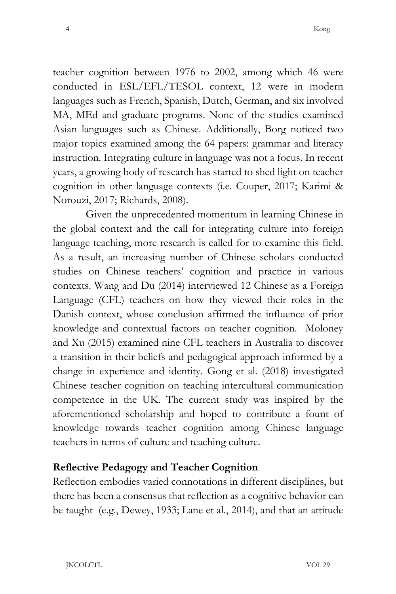teacher cognition between 1976 to 2002, among which 46 were conducted in ESL/EFL/TESOL context, 12 were in modern languages such as French, Spanish, Dutch, German, and six involved MA, MEd and graduate programs. None of the studies examined Asian languages such as Chinese. Additionally, Borg noticed two major topics examined among the 64 papers: grammar and literacy instruction. Integrating culture in language was not a focus. In recent years, a growing body of research has started to shed light on teacher cognition in other language contexts (i.e. Couper, 2017; Karimi & Norouzi, 2017; Richards, 2008).

Given the unprecedented momentum in learning Chinese in the global context and the call for integrating culture into foreign language teaching, more research is called for to examine this field. As a result, an increasing number of Chinese scholars conducted studies on Chinese teachers' cognition and practice in various contexts. Wang and Du (2014) interviewed 12 Chinese as a Foreign Language (CFL) teachers on how they viewed their roles in the Danish context, whose conclusion affirmed the influence of prior knowledge and contextual factors on teacher cognition. Moloney and Xu (2015) examined nine CFL teachers in Australia to discover a transition in their beliefs and pedagogical approach informed by a change in experience and identity. Gong et al. (2018) investigated Chinese teacher cognition on teaching intercultural communication competence in the UK. The current study was inspired by the aforementioned scholarship and hoped to contribute a fount of knowledge towards teacher cognition among Chinese language teachers in terms of culture and teaching culture.

#### **Reflective Pedagogy and Teacher Cognition**

Reflection embodies varied connotations in different disciplines, but there has been a consensus that reflection as a cognitive behavior can be taught (e.g., Dewey, 1933; Lane et al., 2014), and that an attitude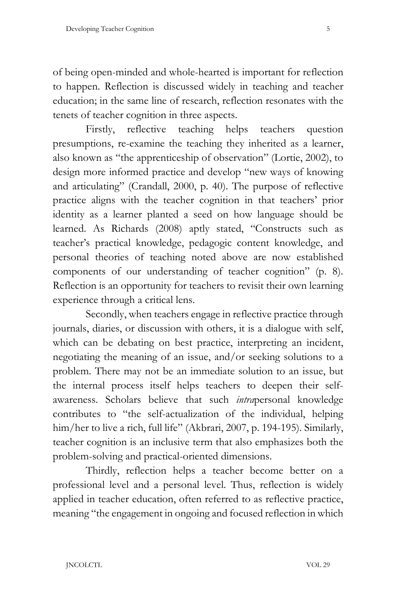of being open-minded and whole-hearted is important for reflection to happen. Reflection is discussed widely in teaching and teacher education; in the same line of research, reflection resonates with the tenets of teacher cognition in three aspects.

Firstly, reflective teaching helps teachers question presumptions, re-examine the teaching they inherited as a learner, also known as "the apprenticeship of observation" (Lortie, 2002), to design more informed practice and develop "new ways of knowing and articulating" (Crandall, 2000, p. 40). The purpose of reflective practice aligns with the teacher cognition in that teachers' prior identity as a learner planted a seed on how language should be learned. As Richards (2008) aptly stated, "Constructs such as teacher's practical knowledge, pedagogic content knowledge, and personal theories of teaching noted above are now established components of our understanding of teacher cognition" (p. 8). Reflection is an opportunity for teachers to revisit their own learning experience through a critical lens.

Secondly, when teachers engage in reflective practice through journals, diaries, or discussion with others, it is a dialogue with self, which can be debating on best practice, interpreting an incident, negotiating the meaning of an issue, and/or seeking solutions to a problem. There may not be an immediate solution to an issue, but the internal process itself helps teachers to deepen their selfawareness. Scholars believe that such *intra*personal knowledge contributes to "the self-actualization of the individual, helping him/her to live a rich, full life" (Akbrari, 2007, p. 194-195). Similarly, teacher cognition is an inclusive term that also emphasizes both the problem-solving and practical-oriented dimensions.

Thirdly, reflection helps a teacher become better on a professional level and a personal level. Thus, reflection is widely applied in teacher education, often referred to as reflective practice, meaning "the engagement in ongoing and focused reflection in which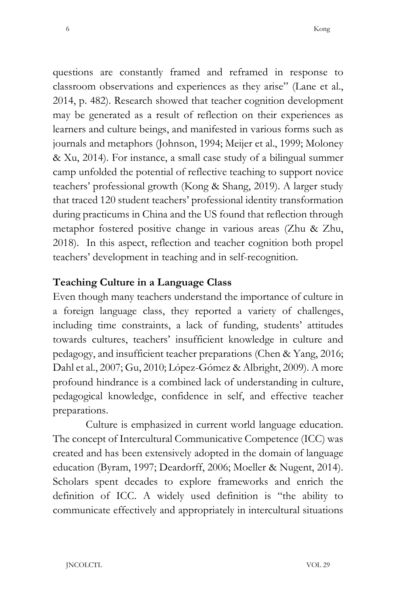questions are constantly framed and reframed in response to classroom observations and experiences as they arise" (Lane et al., 2014, p. 482). Research showed that teacher cognition development may be generated as a result of reflection on their experiences as learners and culture beings, and manifested in various forms such as journals and metaphors (Johnson, 1994; Meijer et al., 1999; Moloney & Xu, 2014). For instance, a small case study of a bilingual summer camp unfolded the potential of reflective teaching to support novice teachers' professional growth (Kong & Shang, 2019). A larger study that traced 120 student teachers' professional identity transformation during practicums in China and the US found that reflection through metaphor fostered positive change in various areas (Zhu & Zhu, 2018). In this aspect, reflection and teacher cognition both propel teachers' development in teaching and in self-recognition.

### **Teaching Culture in a Language Class**

Even though many teachers understand the importance of culture in a foreign language class, they reported a variety of challenges, including time constraints, a lack of funding, students' attitudes towards cultures, teachers' insufficient knowledge in culture and pedagogy, and insufficient teacher preparations (Chen & Yang, 2016; Dahl et al., 2007; Gu, 2010; López-Gómez & Albright, 2009). A more profound hindrance is a combined lack of understanding in culture, pedagogical knowledge, confidence in self, and effective teacher preparations.

Culture is emphasized in current world language education. The concept of Intercultural Communicative Competence (ICC) was created and has been extensively adopted in the domain of language education (Byram, 1997; Deardorff, 2006; Moeller & Nugent, 2014). Scholars spent decades to explore frameworks and enrich the definition of ICC. A widely used definition is "the ability to communicate effectively and appropriately in intercultural situations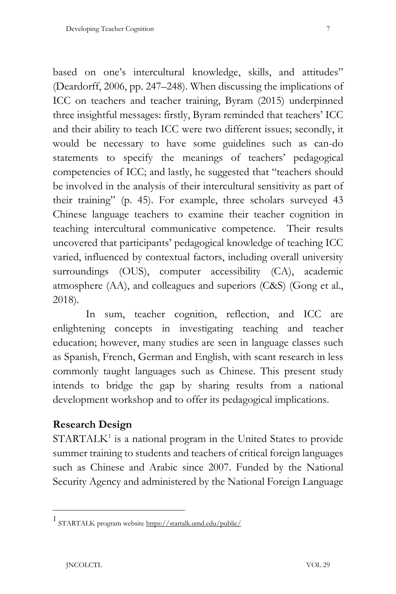based on one's intercultural knowledge, skills, and attitudes" (Deardorff, 2006, pp. 247–248). When discussing the implications of ICC on teachers and teacher training, Byram (2015) underpinned three insightful messages: firstly, Byram reminded that teachers' ICC and their ability to teach ICC were two different issues; secondly, it would be necessary to have some guidelines such as can-do statements to specify the meanings of teachers' pedagogical competencies of ICC; and lastly, he suggested that "teachers should be involved in the analysis of their intercultural sensitivity as part of their training" (p. 45). For example, three scholars surveyed 43 Chinese language teachers to examine their teacher cognition in teaching intercultural communicative competence. Their results uncovered that participants' pedagogical knowledge of teaching ICC varied, influenced by contextual factors, including overall university surroundings (OUS), computer accessibility (CA), academic atmosphere (AA), and colleagues and superiors (C&S) (Gong et al., 2018).

In sum, teacher cognition, reflection, and ICC are enlightening concepts in investigating teaching and teacher education; however, many studies are seen in language classes such as Spanish, French, German and English, with scant research in less commonly taught languages such as Chinese. This present study intends to bridge the gap by sharing results from a national development workshop and to offer its pedagogical implications.

## **Research Design**

 $STATALK<sup>1</sup>$  $STATALK<sup>1</sup>$  $STATALK<sup>1</sup>$  is a national program in the United States to provide summer training to students and teachers of critical foreign languages such as Chinese and Arabic since 2007. Funded by the National Security Agency and administered by the National Foreign Language

<span id="page-6-0"></span><sup>1</sup> STARTALK program websit[e https://startalk.umd.edu/public/](https://startalk.umd.edu/public/)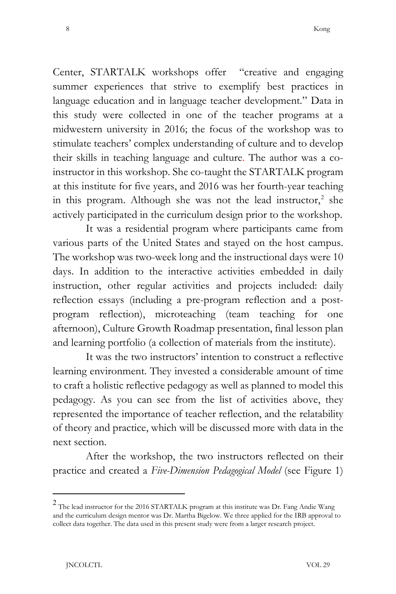Center, STARTALK workshops offer "creative and engaging summer experiences that strive to exemplify best practices in language education and in language teacher development." Data in this study were collected in one of the teacher programs at a midwestern university in 2016; the focus of the workshop was to stimulate teachers' complex understanding of culture and to develop their skills in teaching language and culture. The author was a coinstructor in this workshop. She co-taught the STARTALK program at this institute for five years, and 2016 was her fourth-year teaching in this program. Although she was not the lead instructor, $2$  she actively participated in the curriculum design prior to the workshop.

It was a residential program where participants came from various parts of the United States and stayed on the host campus. The workshop was two-week long and the instructional days were 10 days. In addition to the interactive activities embedded in daily instruction, other regular activities and projects included: daily reflection essays (including a pre-program reflection and a postprogram reflection), microteaching (team teaching for one afternoon), Culture Growth Roadmap presentation, final lesson plan and learning portfolio (a collection of materials from the institute).

It was the two instructors' intention to construct a reflective learning environment. They invested a considerable amount of time to craft a holistic reflective pedagogy as well as planned to model this pedagogy. As you can see from the list of activities above, they represented the importance of teacher reflection, and the relatability of theory and practice, which will be discussed more with data in the next section.

After the workshop, the two instructors reflected on their practice and created a *Five-Dimension Pedagogical Model* (see Figure 1)

<span id="page-7-0"></span><sup>2</sup> The lead instructor for the 2016 STARTALK program at this institute was Dr. Fang Andie Wang and the curriculum design mentor was Dr. Martha Bigelow. We three applied for the IRB approval to collect data together. The data used in this present study were from a larger research project.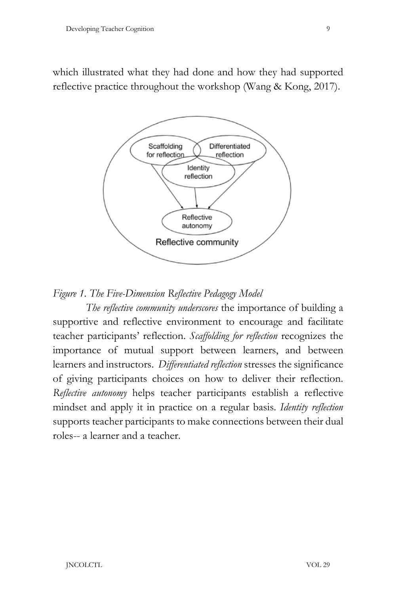which illustrated what they had done and how they had supported reflective practice throughout the workshop (Wang & Kong, 2017).



*Figure 1. The Five-Dimension Reflective Pedagogy Model*

*The reflective community underscores* the importance of building a supportive and reflective environment to encourage and facilitate teacher participants' reflection. *Scaffolding for reflection* recognizes the importance of mutual support between learners, and between learners and instructors. *Differentiated reflection* stresses the significance of giving participants choices on how to deliver their reflection. *Reflective autonomy* helps teacher participants establish a reflective mindset and apply it in practice on a regular basis. *Identity reflection* supports teacher participants to make connections between their dual roles-- a learner and a teacher.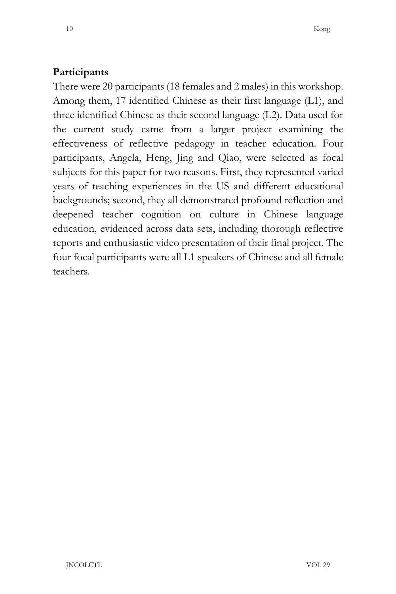## **Participants**

There were 20 participants (18 females and 2 males) in this workshop. Among them, 17 identified Chinese as their first language (L1), and three identified Chinese as their second language (L2). Data used for the current study came from a larger project examining the effectiveness of reflective pedagogy in teacher education. Four participants, Angela, Heng, Jing and Qiao, were selected as focal subjects for this paper for two reasons. First, they represented varied years of teaching experiences in the US and different educational backgrounds; second, they all demonstrated profound reflection and deepened teacher cognition on culture in Chinese language education, evidenced across data sets, including thorough reflective reports and enthusiastic video presentation of their final project. The four focal participants were all L1 speakers of Chinese and all female teachers.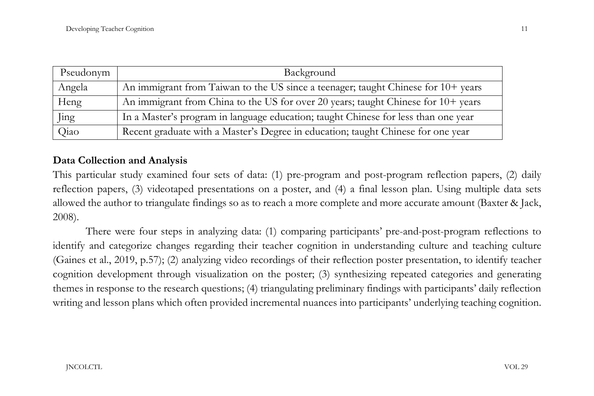| Pseudonym | Background                                                                         |
|-----------|------------------------------------------------------------------------------------|
| Angela    | An immigrant from Taiwan to the US since a teenager; taught Chinese for 10+ years  |
| Heng      | An immigrant from China to the US for over 20 years; taught Chinese for 10+ years  |
| Jing      | In a Master's program in language education; taught Chinese for less than one year |
| Qiao      | Recent graduate with a Master's Degree in education; taught Chinese for one year   |

#### **Data Collection and Analysis**

This particular study examined four sets of data: (1) pre-program and post-program reflection papers, (2) daily reflection papers, (3) videotaped presentations on a poster, and (4) a final lesson plan. Using multiple data sets allowed the author to triangulate findings so as to reach a more complete and more accurate amount (Baxter & Jack, 2008).

There were four steps in analyzing data: (1) comparing participants' pre-and-post-program reflections to identify and categorize changes regarding their teacher cognition in understanding culture and teaching culture (Gaines et al., 2019, p.57); (2) analyzing video recordings of their reflection poster presentation, to identify teacher cognition development through visualization on the poster; (3) synthesizing repeated categories and generating themes in response to the research questions; (4) triangulating preliminary findings with participants' daily reflection writing and lesson plans which often provided incremental nuances into participants' underlying teaching cognition.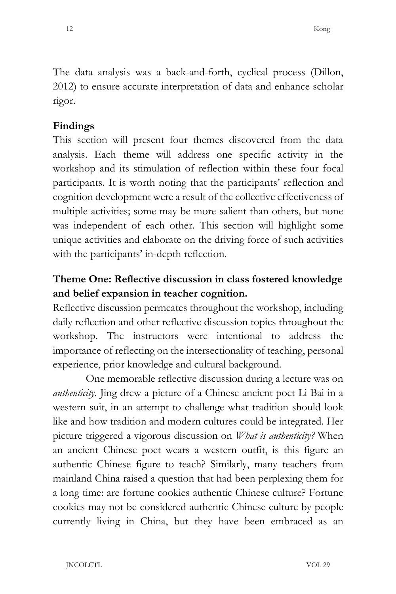The data analysis was a back-and-forth, cyclical process (Dillon, 2012) to ensure accurate interpretation of data and enhance scholar rigor.

#### **Findings**

This section will present four themes discovered from the data analysis. Each theme will address one specific activity in the workshop and its stimulation of reflection within these four focal participants. It is worth noting that the participants' reflection and cognition development were a result of the collective effectiveness of multiple activities; some may be more salient than others, but none was independent of each other. This section will highlight some unique activities and elaborate on the driving force of such activities with the participants' in-depth reflection.

# **Theme One: Reflective discussion in class fostered knowledge and belief expansion in teacher cognition.**

Reflective discussion permeates throughout the workshop, including daily reflection and other reflective discussion topics throughout the workshop. The instructors were intentional to address the importance of reflecting on the intersectionality of teaching, personal experience, prior knowledge and cultural background.

One memorable reflective discussion during a lecture was on *authenticity*. Jing drew a picture of a Chinese ancient poet Li Bai in a western suit, in an attempt to challenge what tradition should look like and how tradition and modern cultures could be integrated. Her picture triggered a vigorous discussion on *What is authenticity?* When an ancient Chinese poet wears a western outfit, is this figure an authentic Chinese figure to teach? Similarly, many teachers from mainland China raised a question that had been perplexing them for a long time: are fortune cookies authentic Chinese culture? Fortune cookies may not be considered authentic Chinese culture by people currently living in China, but they have been embraced as an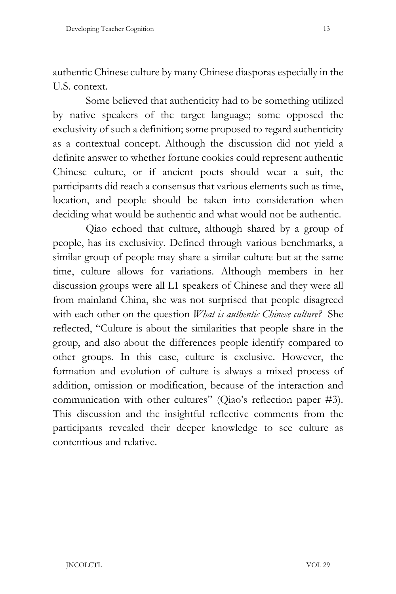authentic Chinese culture by many Chinese diasporas especially in the U.S. context.

Some believed that authenticity had to be something utilized by native speakers of the target language; some opposed the exclusivity of such a definition; some proposed to regard authenticity as a contextual concept. Although the discussion did not yield a definite answer to whether fortune cookies could represent authentic Chinese culture, or if ancient poets should wear a suit, the participants did reach a consensus that various elements such as time, location, and people should be taken into consideration when deciding what would be authentic and what would not be authentic.

Qiao echoed that culture, although shared by a group of people, has its exclusivity. Defined through various benchmarks, a similar group of people may share a similar culture but at the same time, culture allows for variations. Although members in her discussion groups were all L1 speakers of Chinese and they were all from mainland China, she was not surprised that people disagreed with each other on the question *What is authentic Chinese culture?* She reflected, "Culture is about the similarities that people share in the group, and also about the differences people identify compared to other groups. In this case, culture is exclusive. However, the formation and evolution of culture is always a mixed process of addition, omission or modification, because of the interaction and communication with other cultures" (Qiao's reflection paper #3). This discussion and the insightful reflective comments from the participants revealed their deeper knowledge to see culture as contentious and relative.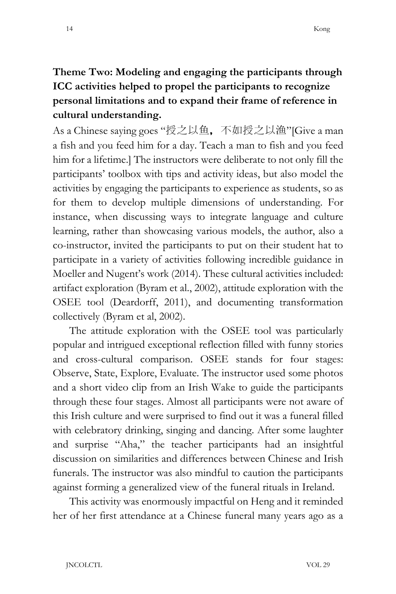# **Theme Two: Modeling and engaging the participants through ICC activities helped to propel the participants to recognize personal limitations and to expand their frame of reference in cultural understanding.**

As a Chinese saying goes "授之以鱼,不如授之以渔"[Give a man a fish and you feed him for a day. Teach a man to fish and you feed him for a lifetime.] The instructors were deliberate to not only fill the participants' toolbox with tips and activity ideas, but also model the activities by engaging the participants to experience as students, so as for them to develop multiple dimensions of understanding. For instance, when discussing ways to integrate language and culture learning, rather than showcasing various models, the author, also a co-instructor, invited the participants to put on their student hat to participate in a variety of activities following incredible guidance in Moeller and Nugent's work (2014). These cultural activities included: artifact exploration (Byram et al., 2002), attitude exploration with the OSEE tool (Deardorff, 2011), and documenting transformation collectively (Byram et al, 2002).

The attitude exploration with the OSEE tool was particularly popular and intrigued exceptional reflection filled with funny stories and cross-cultural comparison. OSEE stands for four stages: Observe, State, Explore, Evaluate. The instructor used some photos and a short video clip from an Irish Wake to guide the participants through these four stages. Almost all participants were not aware of this Irish culture and were surprised to find out it was a funeral filled with celebratory drinking, singing and dancing. After some laughter and surprise "Aha," the teacher participants had an insightful discussion on similarities and differences between Chinese and Irish funerals. The instructor was also mindful to caution the participants against forming a generalized view of the funeral rituals in Ireland.

This activity was enormously impactful on Heng and it reminded her of her first attendance at a Chinese funeral many years ago as a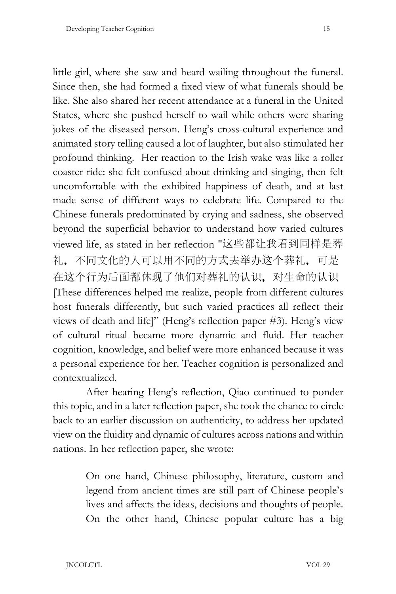little girl, where she saw and heard wailing throughout the funeral. Since then, she had formed a fixed view of what funerals should be like. She also shared her recent attendance at a funeral in the United States, where she pushed herself to wail while others were sharing jokes of the diseased person. Heng's cross-cultural experience and animated story telling caused a lot of laughter, but also stimulated her profound thinking. Her reaction to the Irish wake was like a roller coaster ride: she felt confused about drinking and singing, then felt uncomfortable with the exhibited happiness of death, and at last made sense of different ways to celebrate life. Compared to the Chinese funerals predominated by crying and sadness, she observed beyond the superficial behavior to understand how varied cultures viewed life, as stated in her reflection "这些都让我看到同样是葬 礼,不同文化的人可以用不同的方式去举办这个葬礼,可是 在这个行为后面都体现了他们对葬礼的认识,对生命的认识 [These differences helped me realize, people from different cultures host funerals differently, but such varied practices all reflect their views of death and life]" (Heng's reflection paper #3). Heng's view of cultural ritual became more dynamic and fluid. Her teacher cognition, knowledge, and belief were more enhanced because it was a personal experience for her. Teacher cognition is personalized and contextualized.

After hearing Heng's reflection, Qiao continued to ponder this topic, and in a later reflection paper, she took the chance to circle back to an earlier discussion on authenticity, to address her updated view on the fluidity and dynamic of cultures across nations and within nations. In her reflection paper, she wrote:

> On one hand, Chinese philosophy, literature, custom and legend from ancient times are still part of Chinese people's lives and affects the ideas, decisions and thoughts of people. On the other hand, Chinese popular culture has a big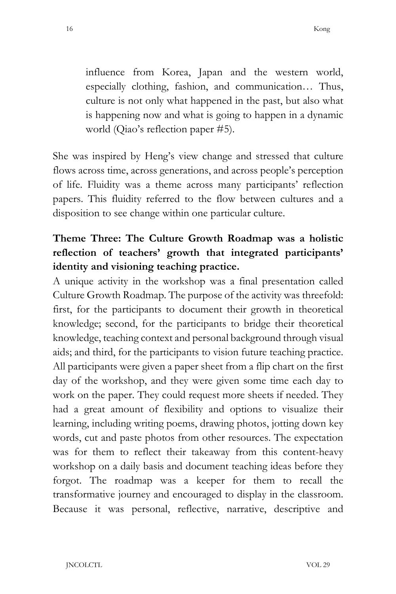influence from Korea, Japan and the western world, especially clothing, fashion, and communication… Thus, culture is not only what happened in the past, but also what is happening now and what is going to happen in a dynamic world (Qiao's reflection paper #5).

She was inspired by Heng's view change and stressed that culture flows across time, across generations, and across people's perception of life. Fluidity was a theme across many participants' reflection papers. This fluidity referred to the flow between cultures and a disposition to see change within one particular culture.

# **Theme Three: The Culture Growth Roadmap was a holistic reflection of teachers' growth that integrated participants' identity and visioning teaching practice.**

A unique activity in the workshop was a final presentation called Culture Growth Roadmap. The purpose of the activity was threefold: first, for the participants to document their growth in theoretical knowledge; second, for the participants to bridge their theoretical knowledge, teaching context and personal background through visual aids; and third, for the participants to vision future teaching practice. All participants were given a paper sheet from a flip chart on the first day of the workshop, and they were given some time each day to work on the paper. They could request more sheets if needed. They had a great amount of flexibility and options to visualize their learning, including writing poems, drawing photos, jotting down key words, cut and paste photos from other resources. The expectation was for them to reflect their takeaway from this content-heavy workshop on a daily basis and document teaching ideas before they forgot. The roadmap was a keeper for them to recall the transformative journey and encouraged to display in the classroom. Because it was personal, reflective, narrative, descriptive and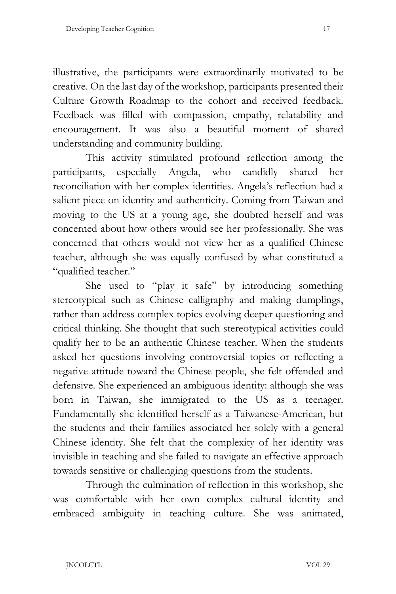illustrative, the participants were extraordinarily motivated to be creative. On the last day of the workshop, participants presented their Culture Growth Roadmap to the cohort and received feedback. Feedback was filled with compassion, empathy, relatability and encouragement. It was also a beautiful moment of shared understanding and community building.

This activity stimulated profound reflection among the participants, especially Angela, who candidly shared her reconciliation with her complex identities. Angela's reflection had a salient piece on identity and authenticity. Coming from Taiwan and moving to the US at a young age, she doubted herself and was concerned about how others would see her professionally. She was concerned that others would not view her as a qualified Chinese teacher, although she was equally confused by what constituted a "qualified teacher."

She used to "play it safe" by introducing something stereotypical such as Chinese calligraphy and making dumplings, rather than address complex topics evolving deeper questioning and critical thinking. She thought that such stereotypical activities could qualify her to be an authentic Chinese teacher. When the students asked her questions involving controversial topics or reflecting a negative attitude toward the Chinese people, she felt offended and defensive. She experienced an ambiguous identity: although she was born in Taiwan, she immigrated to the US as a teenager. Fundamentally she identified herself as a Taiwanese-American, but the students and their families associated her solely with a general Chinese identity. She felt that the complexity of her identity was invisible in teaching and she failed to navigate an effective approach towards sensitive or challenging questions from the students.

Through the culmination of reflection in this workshop, she was comfortable with her own complex cultural identity and embraced ambiguity in teaching culture. She was animated,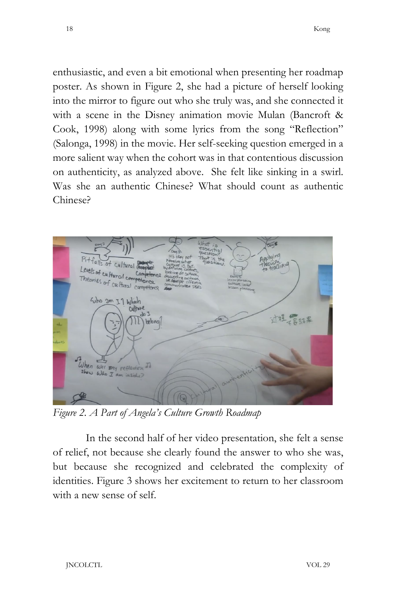enthusiastic, and even a bit emotional when presenting her roadmap poster. As shown in Figure 2, she had a picture of herself looking into the mirror to figure out who she truly was, and she connected it with a scene in the Disney animation movie Mulan (Bancroft & Cook, 1998) along with some lyrics from the song "Reflection" (Salonga, 1998) in the movie. Her self-seeking question emerged in a more salient way when the cohort was in that contentious discussion on authenticity, as analyzed above. She felt like sinking in a swirl. Was she an authentic Chinese? What should count as authentic Chinese?



*Figure 2. A Part of Angela's Culture Growth Roadmap* 

In the second half of her video presentation, she felt a sense of relief, not because she clearly found the answer to who she was, but because she recognized and celebrated the complexity of identities. Figure 3 shows her excitement to return to her classroom with a new sense of self.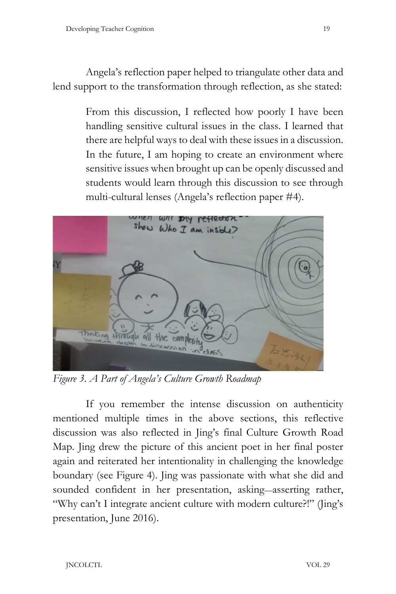Angela's reflection paper helped to triangulate other data and lend support to the transformation through reflection, as she stated:

> From this discussion, I reflected how poorly I have been handling sensitive cultural issues in the class. I learned that there are helpful ways to deal with these issues in a discussion. In the future, I am hoping to create an environment where sensitive issues when brought up can be openly discussed and students would learn through this discussion to see through multi-cultural lenses (Angela's reflection paper #4).



*Figure 3. A Part of Angela's Culture Growth Roadmap*

If you remember the intense discussion on authenticity mentioned multiple times in the above sections, this reflective discussion was also reflected in Jing's final Culture Growth Road Map. Jing drew the picture of this ancient poet in her final poster again and reiterated her intentionality in challenging the knowledge boundary (see Figure 4). Jing was passionate with what she did and sounded confident in her presentation, asking—asserting rather, "Why can't I integrate ancient culture with modern culture?!" (Jing's presentation, June 2016).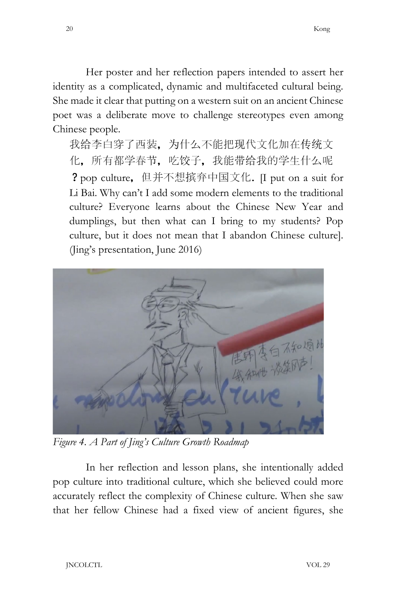Her poster and her reflection papers intended to assert her identity as a complicated, dynamic and multifaceted cultural being. She made it clear that putting on a western suit on an ancient Chinese poet was a deliberate move to challenge stereotypes even among Chinese people.

我给李白穿了西装,为什么不能把现代文化加在传统文 化,所有都学春节,吃饺子,我能带给我的学生什么呢 ?pop culture,但并不想摈弃中国文化. [I put on a suit for Li Bai. Why can't I add some modern elements to the traditional culture? Everyone learns about the Chinese New Year and dumplings, but then what can I bring to my students? Pop culture, but it does not mean that I abandon Chinese culture]. (Jing's presentation, June 2016)



*Figure 4. A Part of Jing's Culture Growth Roadmap*

In her reflection and lesson plans, she intentionally added pop culture into traditional culture, which she believed could more accurately reflect the complexity of Chinese culture. When she saw that her fellow Chinese had a fixed view of ancient figures, she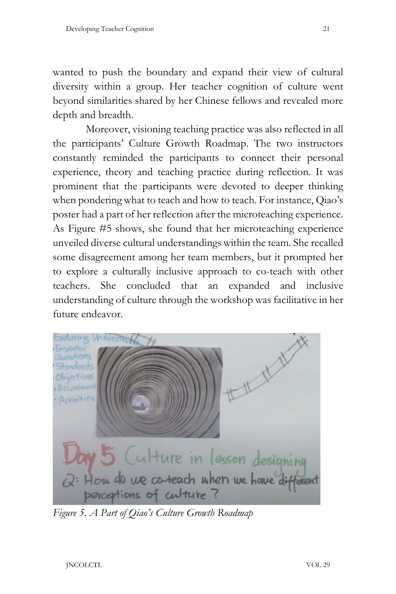wanted to push the boundary and expand their view of cultural diversity within a group. Her teacher cognition of culture went beyond similarities shared by her Chinese fellows and revealed more depth and breadth.

Moreover, visioning teaching practice was also reflected in all the participants' Culture Growth Roadmap. The two instructors constantly reminded the participants to connect their personal experience, theory and teaching practice during reflection. It was prominent that the participants were devoted to deeper thinking when pondering what to teach and how to teach. For instance, Qiao's poster had a part of her reflection after the microteaching experience. As Figure #5 shows, she found that her microteaching experience unveiled diverse cultural understandings within the team. She recalled some disagreement among her team members, but it prompted her to explore a culturally inclusive approach to co-teach with other teachers. She concluded that an expanded and inclusive understanding of culture through the workshop was facilitative in her future endeavor.



*Figure 5. A Part of Qiao's Culture Growth Roadmap*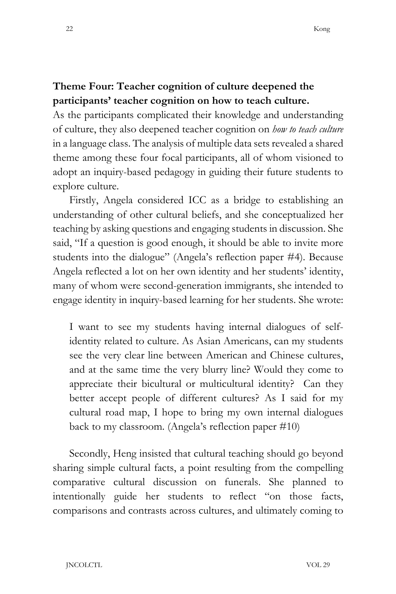## **Theme Four: Teacher cognition of culture deepened the participants' teacher cognition on how to teach culture.**

As the participants complicated their knowledge and understanding of culture, they also deepened teacher cognition on *how to teach culture* in a language class. The analysis of multiple data sets revealed a shared theme among these four focal participants, all of whom visioned to adopt an inquiry-based pedagogy in guiding their future students to explore culture.

Firstly, Angela considered ICC as a bridge to establishing an understanding of other cultural beliefs, and she conceptualized her teaching by asking questions and engaging students in discussion. She said, "If a question is good enough, it should be able to invite more students into the dialogue" (Angela's reflection paper #4). Because Angela reflected a lot on her own identity and her students' identity, many of whom were second-generation immigrants, she intended to engage identity in inquiry-based learning for her students. She wrote:

I want to see my students having internal dialogues of selfidentity related to culture. As Asian Americans, can my students see the very clear line between American and Chinese cultures, and at the same time the very blurry line? Would they come to appreciate their bicultural or multicultural identity? Can they better accept people of different cultures? As I said for my cultural road map, I hope to bring my own internal dialogues back to my classroom. (Angela's reflection paper #10)

Secondly, Heng insisted that cultural teaching should go beyond sharing simple cultural facts, a point resulting from the compelling comparative cultural discussion on funerals. She planned to intentionally guide her students to reflect "on those facts, comparisons and contrasts across cultures, and ultimately coming to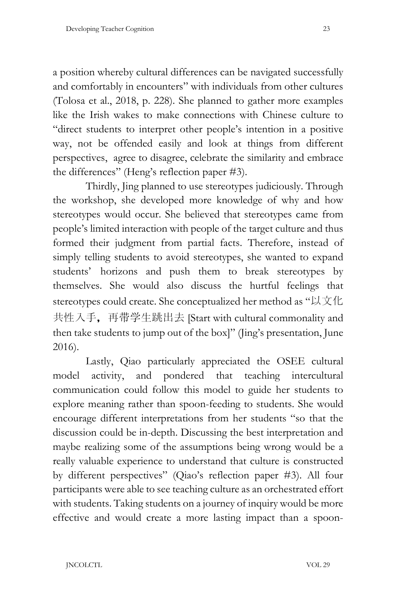a position whereby cultural differences can be navigated successfully and comfortably in encounters" with individuals from other cultures (Tolosa et al., 2018, p. 228). She planned to gather more examples like the Irish wakes to make connections with Chinese culture to "direct students to interpret other people's intention in a positive way, not be offended easily and look at things from different perspectives, agree to disagree, celebrate the similarity and embrace the differences" (Heng's reflection paper #3).

Thirdly, Jing planned to use stereotypes judiciously. Through the workshop, she developed more knowledge of why and how stereotypes would occur. She believed that stereotypes came from people's limited interaction with people of the target culture and thus formed their judgment from partial facts. Therefore, instead of simply telling students to avoid stereotypes, she wanted to expand students' horizons and push them to break stereotypes by themselves. She would also discuss the hurtful feelings that stereotypes could create. She conceptualized her method as "以文化 共性入手,再带学生跳出去 [Start with cultural commonality and then take students to jump out of the box]" (Jing's presentation, June 2016).

Lastly, Qiao particularly appreciated the OSEE cultural model activity, and pondered that teaching intercultural communication could follow this model to guide her students to explore meaning rather than spoon-feeding to students. She would encourage different interpretations from her students "so that the discussion could be in-depth. Discussing the best interpretation and maybe realizing some of the assumptions being wrong would be a really valuable experience to understand that culture is constructed by different perspectives" (Qiao's reflection paper #3). All four participants were able to see teaching culture as an orchestrated effort with students. Taking students on a journey of inquiry would be more effective and would create a more lasting impact than a spoon-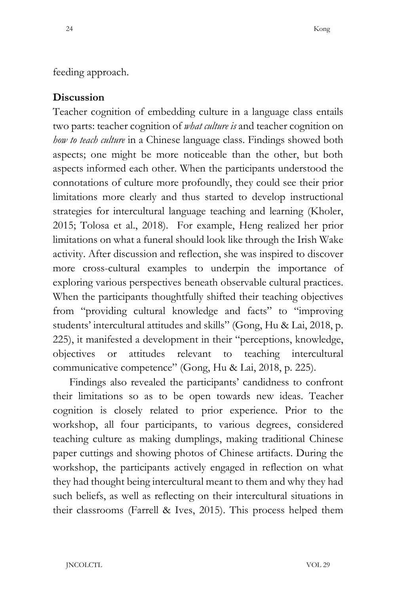## feeding approach.

## **Discussion**

Teacher cognition of embedding culture in a language class entails two parts: teacher cognition of *what culture is* and teacher cognition on *how to teach culture* in a Chinese language class. Findings showed both aspects; one might be more noticeable than the other, but both aspects informed each other. When the participants understood the connotations of culture more profoundly, they could see their prior limitations more clearly and thus started to develop instructional strategies for intercultural language teaching and learning (Kholer, 2015; Tolosa et al., 2018). For example, Heng realized her prior limitations on what a funeral should look like through the Irish Wake activity. After discussion and reflection, she was inspired to discover more cross-cultural examples to underpin the importance of exploring various perspectives beneath observable cultural practices. When the participants thoughtfully shifted their teaching objectives from "providing cultural knowledge and facts" to "improving students' intercultural attitudes and skills" (Gong, Hu & Lai, 2018, p. 225), it manifested a development in their "perceptions, knowledge, objectives or attitudes relevant to teaching intercultural communicative competence" (Gong, Hu & Lai, 2018, p. 225).

Findings also revealed the participants' candidness to confront their limitations so as to be open towards new ideas. Teacher cognition is closely related to prior experience. Prior to the workshop, all four participants, to various degrees, considered teaching culture as making dumplings, making traditional Chinese paper cuttings and showing photos of Chinese artifacts. During the workshop, the participants actively engaged in reflection on what they had thought being intercultural meant to them and why they had such beliefs, as well as reflecting on their intercultural situations in their classrooms (Farrell & Ives, 2015). This process helped them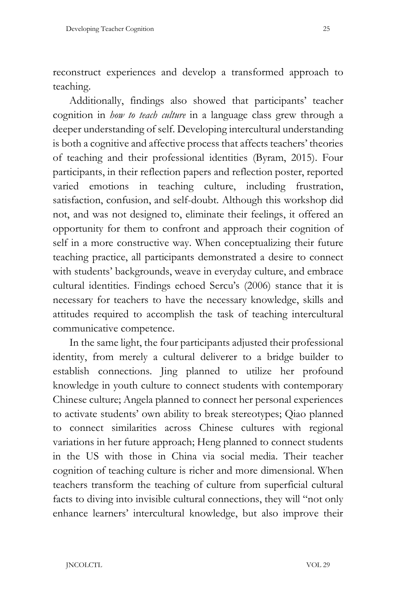reconstruct experiences and develop a transformed approach to teaching.

Additionally, findings also showed that participants' teacher cognition in *how to teach culture* in a language class grew through a deeper understanding of self. Developing intercultural understanding is both a cognitive and affective process that affects teachers' theories of teaching and their professional identities (Byram, 2015). Four participants, in their reflection papers and reflection poster, reported varied emotions in teaching culture, including frustration, satisfaction, confusion, and self-doubt. Although this workshop did not, and was not designed to, eliminate their feelings, it offered an opportunity for them to confront and approach their cognition of self in a more constructive way. When conceptualizing their future teaching practice, all participants demonstrated a desire to connect with students' backgrounds, weave in everyday culture, and embrace cultural identities. Findings echoed Sercu's (2006) stance that it is necessary for teachers to have the necessary knowledge, skills and attitudes required to accomplish the task of teaching intercultural communicative competence.

In the same light, the four participants adjusted their professional identity, from merely a cultural deliverer to a bridge builder to establish connections. Jing planned to utilize her profound knowledge in youth culture to connect students with contemporary Chinese culture; Angela planned to connect her personal experiences to activate students' own ability to break stereotypes; Qiao planned to connect similarities across Chinese cultures with regional variations in her future approach; Heng planned to connect students in the US with those in China via social media. Their teacher cognition of teaching culture is richer and more dimensional. When teachers transform the teaching of culture from superficial cultural facts to diving into invisible cultural connections, they will "not only enhance learners' intercultural knowledge, but also improve their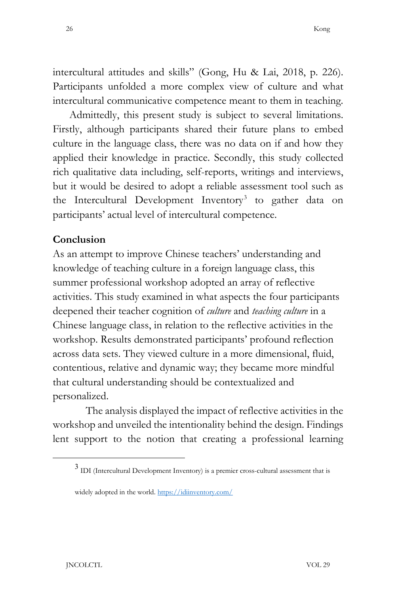intercultural attitudes and skills" (Gong, Hu & Lai, 2018, p. 226). Participants unfolded a more complex view of culture and what intercultural communicative competence meant to them in teaching.

Admittedly, this present study is subject to several limitations. Firstly, although participants shared their future plans to embed culture in the language class, there was no data on if and how they applied their knowledge in practice. Secondly, this study collected rich qualitative data including, self-reports, writings and interviews, but it would be desired to adopt a reliable assessment tool such as the Intercultural Development Inventory<sup>[3](#page-25-0)</sup> to gather data on participants' actual level of intercultural competence.

#### **Conclusion**

As an attempt to improve Chinese teachers' understanding and knowledge of teaching culture in a foreign language class, this summer professional workshop adopted an array of reflective activities. This study examined in what aspects the four participants deepened their teacher cognition of *culture* and *teaching culture* in a Chinese language class, in relation to the reflective activities in the workshop. Results demonstrated participants' profound reflection across data sets. They viewed culture in a more dimensional, fluid, contentious, relative and dynamic way; they became more mindful that cultural understanding should be contextualized and personalized.

The analysis displayed the impact of reflective activities in the workshop and unveiled the intentionality behind the design. Findings lent support to the notion that creating a professional learning

<span id="page-25-0"></span><sup>3</sup> IDI (Intercultural Development Inventory) is a premier cross-cultural assessment that is

widely adopted in the world. https://idiinventory.com/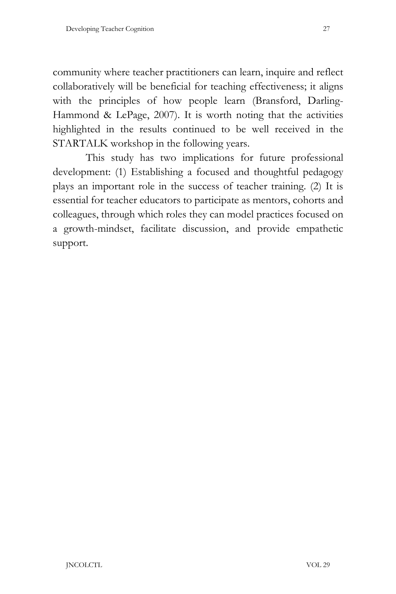community where teacher practitioners can learn, inquire and reflect collaboratively will be beneficial for teaching effectiveness; it aligns with the principles of how people learn (Bransford, Darling-Hammond & LePage, 2007). It is worth noting that the activities highlighted in the results continued to be well received in the STARTALK workshop in the following years.

This study has two implications for future professional development: (1) Establishing a focused and thoughtful pedagogy plays an important role in the success of teacher training. (2) It is essential for teacher educators to participate as mentors, cohorts and colleagues, through which roles they can model practices focused on a growth-mindset, facilitate discussion, and provide empathetic support.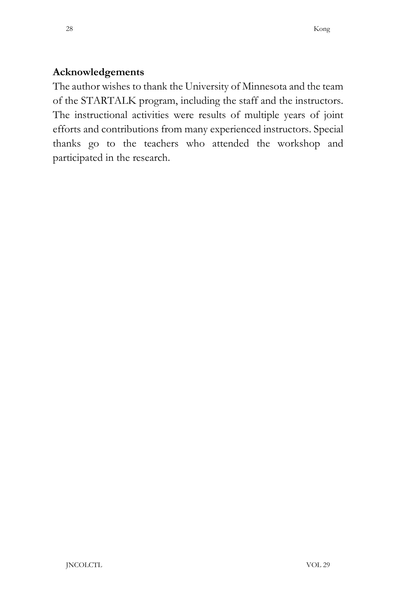### **Acknowledgements**

The author wishes to thank the University of Minnesota and the team of the STARTALK program, including the staff and the instructors. The instructional activities were results of multiple years of joint efforts and contributions from many experienced instructors. Special thanks go to the teachers who attended the workshop and participated in the research.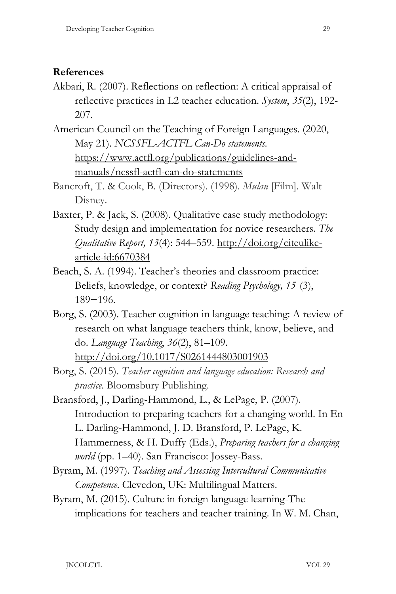#### **References**

Akbari, R. (2007). Reflections on reflection: A critical appraisal of reflective practices in L2 teacher education. *System*, *35*(2), 192- 207.

American Council on the Teaching of Foreign Languages. (2020, May 21). *NCSSFL-ACTFL Can-Do statements.* [https://www.actfl.org/publications/guidelines-and](https://www.actfl.org/publications/guidelines-and-manuals/ncssfl-actfl-can-do-statements)[manuals/ncssfl-actfl-can-do-statements](https://www.actfl.org/publications/guidelines-and-manuals/ncssfl-actfl-can-do-statements)

Bancroft, T. & Cook, B. (Directors). (1998). *Mulan* [Film]. Walt Disney.

- Baxter, P. & Jack, S. (2008). Qualitative case study methodology: Study design and implementation for novice researchers. *The Qualitative Report, 13*(4): 544–559. [http://doi.org/citeulike](http://doi.org/citeulike-article-id:6670384)[article-id:6670384](http://doi.org/citeulike-article-id:6670384)
- Beach, S. A. (1994). Teacher's theories and classroom practice: Beliefs, knowledge, or context? *Reading Psychology, 15* (3), 189−196.
- Borg, S. (2003). Teacher cognition in language teaching: A review of research on what language teachers think, know, believe, and do. *Language Teaching*, *36*(2), 81–109. <http://doi.org/10.1017/S0261444803001903>

Borg, S. (2015). *Teacher cognition and language education: Research and practice*. Bloomsbury Publishing.

- Bransford, J., Darling-Hammond, L., & LePage, P. (2007). Introduction to preparing teachers for a changing world. In En L. Darling-Hammond, J. D. Bransford, P. LePage, K. Hammerness, & H. Duffy (Eds.), *Preparing teachers for a changing world* (pp. 1–40). San Francisco: Jossey-Bass.
- Byram, M. (1997). *Teaching and Assessing Intercultural Communicative Competence*. Clevedon, UK: Multilingual Matters.
- Byram, M. (2015). Culture in foreign language learning-The implications for teachers and teacher training. In W. M. Chan,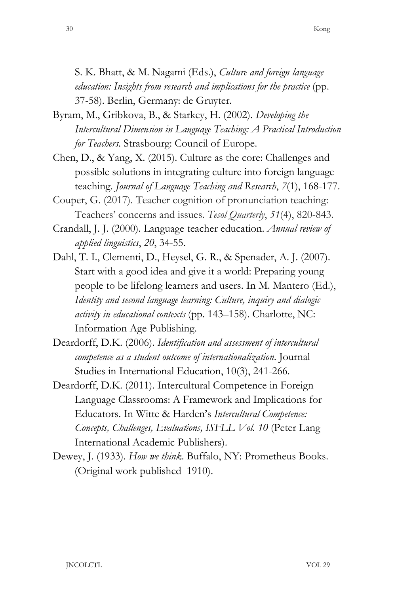S. K. Bhatt, & M. Nagami (Eds.), *Culture and foreign language education: Insights from research and implications for the practice* (pp. 37-58). Berlin, Germany: de Gruyter.

- Byram, M., Gribkova, B., & Starkey, H. (2002). *Developing the Intercultural Dimension in Language Teaching: A Practical Introduction for Teachers*. Strasbourg: Council of Europe.
- Chen, D., & Yang, X. (2015). Culture as the core: Challenges and possible solutions in integrating culture into foreign language teaching. *Journal of Language Teaching and Research*, *7*(1), 168-177.
- Couper, G. (2017). Teacher cognition of pronunciation teaching: Teachers' concerns and issues. *Tesol Quarterly*, *51*(4), 820-843.
- Crandall, J. J. (2000). Language teacher education. *Annual review of applied linguistics*, *20*, 34-55.
- Dahl, T. I., Clementi, D., Heysel, G. R., & Spenader, A. J. (2007). Start with a good idea and give it a world: Preparing young people to be lifelong learners and users. In M. Mantero (Ed.), *Identity and second language learning: Culture, inquiry and dialogic activity in educational contexts* (pp. 143–158). Charlotte, NC: Information Age Publishing.
- Deardorff, D.K. (2006). *Identification and assessment of intercultural competence as a student outcome of internationalization*. Journal Studies in International Education, 10(3), 241-266.
- Deardorff, D.K. (2011). Intercultural Competence in Foreign Language Classrooms: A Framework and Implications for Educators. In Witte & Harden's *Intercultural Competence: Concepts, Challenges, Evaluations, ISFLL Vol. 10* (Peter Lang International Academic Publishers).
- Dewey, J. (1933). *How we think*. Buffalo, NY: Prometheus Books. (Original work published 1910).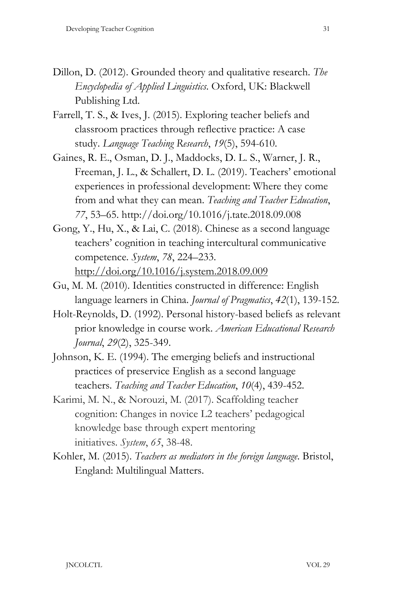- Dillon, D. (2012). Grounded theory and qualitative research. *The Encyclopedia of Applied Linguistics*. Oxford, UK: Blackwell Publishing Ltd.
- Farrell, T. S., & Ives, J. (2015). Exploring teacher beliefs and classroom practices through reflective practice: A case study. *Language Teaching Research*, *19*(5), 594-610.
- Gaines, R. E., Osman, D. J., Maddocks, D. L. S., Warner, J. R., Freeman, J. L., & Schallert, D. L. (2019). Teachers' emotional experiences in professional development: Where they come from and what they can mean. *Teaching and Teacher Education*, *77*, 53–65. http://doi.org/10.1016/j.tate.2018.09.008
- Gong, Y., Hu, X., & Lai, C. (2018). Chinese as a second language teachers' cognition in teaching intercultural communicative competence. *System*, *78*, 224–233. <http://doi.org/10.1016/j.system.2018.09.009>
- Gu, M. M. (2010). Identities constructed in difference: English language learners in China. *Journal of Pragmatics*, *42*(1), 139-152.
- Holt-Reynolds, D. (1992). Personal history-based beliefs as relevant prior knowledge in course work. *American Educational Research Journal*, *29*(2), 325-349.
- Johnson, K. E. (1994). The emerging beliefs and instructional practices of preservice English as a second language teachers. *Teaching and Teacher Education*, *10*(4), 439-452.
- Karimi, M. N., & Norouzi, M. (2017). Scaffolding teacher cognition: Changes in novice L2 teachers' pedagogical knowledge base through expert mentoring initiatives. *System*, *65*, 38-48.
- Kohler, M. (2015). *Teachers as mediators in the foreign language*. Bristol, England: Multilingual Matters.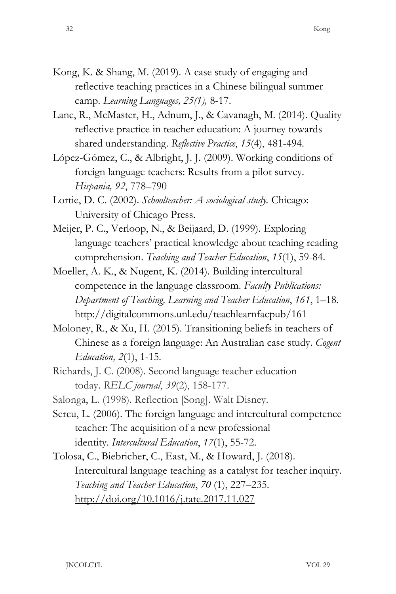- Kong, K. & Shang, M. (2019). A case study of engaging and reflective teaching practices in a Chinese bilingual summer camp. *Learning Languages, 25(1),* 8-17.
- Lane, R., McMaster, H., Adnum, J., & Cavanagh, M. (2014). Quality reflective practice in teacher education: A journey towards shared understanding. *Reflective Practice*, *15*(4), 481-494.
- López-Gómez, C., & Albright, J. J. (2009). Working conditions of foreign language teachers: Results from a pilot survey. *Hispania, 92*, 778–790
- Lortie, D. C. (2002). *Schoolteacher: A sociological study.* Chicago: University of Chicago Press.
- Meijer, P. C., Verloop, N., & Beijaard, D. (1999). Exploring language teachers' practical knowledge about teaching reading comprehension. *Teaching and Teacher Education*, *15*(1), 59-84.
- Moeller, A. K., & Nugent, K. (2014). Building intercultural competence in the language classroom. *Faculty Publications: Department of Teaching, Learning and Teacher Education*, *161*, 1–18. http://digitalcommons.unl.edu/teachlearnfacpub/161
- Moloney, R., & Xu, H. (2015). Transitioning beliefs in teachers of Chinese as a foreign language: An Australian case study. *Cogent Education, 2*(1), 1-15.
- Richards, J. C. (2008). Second language teacher education today. *RELC journal*, *39*(2), 158-177.
- Salonga, L. (1998). Reflection [Song]. Walt Disney.
- Sercu, L. (2006). The foreign language and intercultural competence teacher: The acquisition of a new professional identity. *Intercultural Education*, *17*(1), 55-72.
- Tolosa, C., Biebricher, C., East, M., & Howard, J. (2018). Intercultural language teaching as a catalyst for teacher inquiry. *Teaching and Teacher Education*, *70* (1), 227–235. <http://doi.org/10.1016/j.tate.2017.11.027>